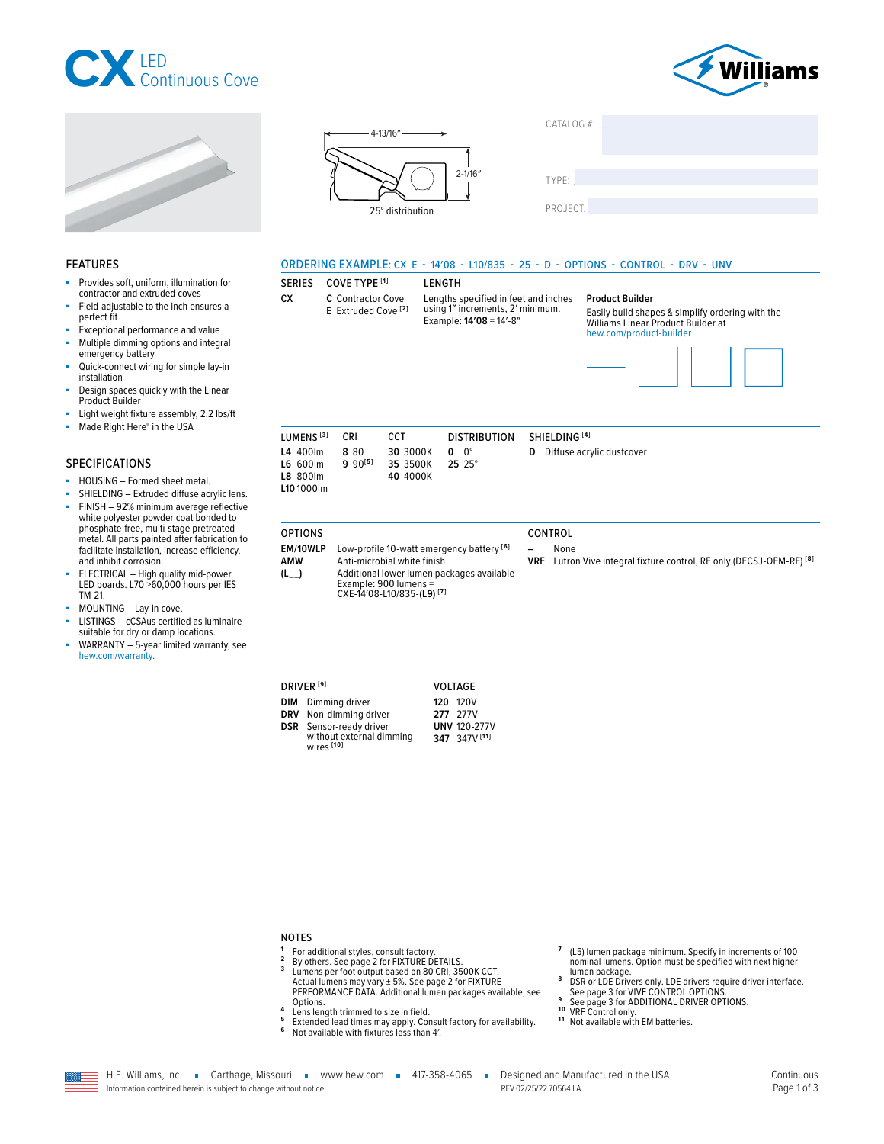





Provides soft, uniform, illumination for

Field-adiustable to the inch ensures a

Exceptional performance and value

Multiple dimming options and integral

Quick-connect wiring for simple lay-in

Design spaces quickly with the Linear

Light weight fixture assembly, 2.2 lbs/ft Made Right Here® in the USA

contractor and extruded coves

**FEATURES** 

perfect fit

installation

Product Builder

**SPECIFICATIONS** 

ä

emergency battery



| TYPE:    |  |  |
|----------|--|--|
|          |  |  |
| PROJECT: |  |  |

# ORDERING EXAMPLE: CX E - 14'08 - L10/835 - 25 - D - OPTIONS - CONTROL - DRV - UNV

#### **SERIES** COVE TYPE [1]

C Contractor Cove CX. E Extruded Cove<sup>[2]</sup>

**OPTIONS** 

**I FNGTH** Lengths specified in feet and inches<br>using 1" increments, 2' minimum. Example: 14'08 = 14'-8"

#### **Product Builder**

CATALOG #:

Easily build shapes & simplify ordering with the Williams Linear Product Builder at hew.com/product-builder



| LUMENS <sup>[3]</sup>                                             | CRI                  | CCT                              | DISTRIBUTION SHIELDING [4] |                                    |
|-------------------------------------------------------------------|----------------------|----------------------------------|----------------------------|------------------------------------|
| L4 400lm<br>$L6$ 600 $\text{Im}$<br><b>L8 800lm</b><br>L10 1000lm | 8.80<br>$9.90^{[5]}$ | 30 3000K<br>35 3500K<br>40 4000K | 0 O°<br>$25.25^{\circ}$    | <b>D</b> Diffuse acrylic dustcover |

# SHIELDING - Extruded diffuse acrylic lens. FINISH - 92% minimum average reflective white polyester powder coat bonded to phosphate-free, multi-stage pretreated<br>metal. All parts painted after fabrication to<br>facilitate installation, increase efficiency, and inhibit corrosion.

HOUSING - Formed sheet metal.

- ELECTRICAL High quality mid-power<br>ELECTRICAL High quality mid-power<br>LED boards. L70 >60,000 hours per IES TM-21.
- MOUNTING Lay-in cove. ä,
- LISTINGS cCSAus certified as luminaire suitable for dry or damp locations.
- WARRANTY 5-year limited warranty, see hew.com/warranty.

EM/10WLP Low-profile 10-watt emergency battery [6] **AMW** Anti-microbial white finish Additional lower lumen packages available  $(L_{--})$ Example: 900 lumens =<br>CXE-14'08-L10/835-(L9)<sup>[7]</sup>

### CONTROL

None

VRF Lutron Vive integral fixture control, RF only (DFCSJ-OEM-RF)<sup>[8]</sup>

| <b>DRIVER ISI</b>                                 | VOLTAGE             |
|---------------------------------------------------|---------------------|
| <b>DIM</b> Dimming driver                         | <b>120 120V</b>     |
| DRV Non-dimming driver                            | 277 277V            |
| <b>DSR</b> Sensor-ready driver                    | <b>UNV 120-277V</b> |
| without external dimming<br>wires <sup>[10]</sup> | 347 347V [11]       |

# **NOTES**

- <sup>1</sup> For additional styles, consult factory.  $\overline{2}$
- By others. See page 2 for FIXTURE DETAILS.  $\mathbf{3}$
- Limens per foot output based on 80 CRI, 3500K CCT.<br>Actual lumens may vary ± 5%. See page 2 for FIXTURE<br>PERFORMANCE DATA. Additional lumen packages available, see Options.  $\overline{a}$
- Lens length trimmed to size in field.
- Extended lead times may apply. Consult factory for availability.<br>Not available with fixtures less than 4'. 5  $\mathbf 6$
- 
- (L5) lumen package minimum. Specify in increments of 100 nominal lumens. Option must be specified with next higher
- Figure 1 package.<br>
DSR or LDE Drivers only. LDE drivers require driver interface.<br>
See page 3 for VIVE CONTROL OPTIONS. 8
- See page 3 for ADDITIONAL DRIVER OPTIONS.<br>VRF Control only.  $10$
- 
- <sup>11</sup> Not available with EM batteries.

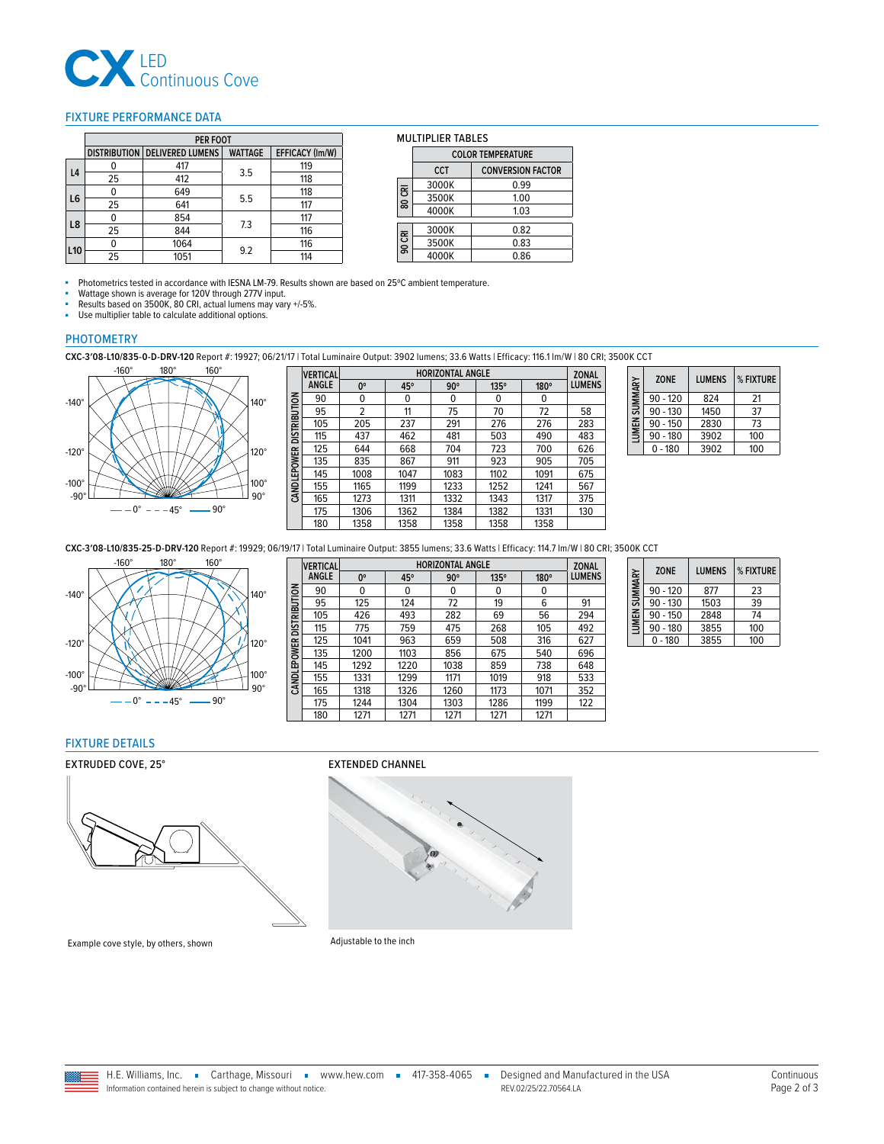

### <span id="page-1-1"></span>FIXTURE PERFORMANCE DATA

|                |    | <b>PER FOOT</b>                 |                |                        |
|----------------|----|---------------------------------|----------------|------------------------|
|                |    | DISTRIBUTION   DELIVERED LUMENS | <b>WATTAGE</b> | <b>EFFICACY (Im/W)</b> |
| L <sub>4</sub> |    | 417                             | 3.5            | 119                    |
|                | 25 | 412                             |                | 118                    |
| L6             |    | 649                             | 5.5            | 118                    |
|                | 25 | 641                             |                | 117                    |
| L8             |    | 854                             | 7.3            | 117                    |
|                | 25 | 844                             |                | 116                    |
|                |    | 1064                            | 9.2            | 116                    |
| L10            | 25 | 1051                            |                | 114                    |

#### MULTIPLIER TABLES

|        | <b>COLOR TEMPERATURE</b> |                          |  |
|--------|--------------------------|--------------------------|--|
|        | <b>CCT</b>               | <b>CONVERSION FACTOR</b> |  |
|        | 3000K                    | 0.99                     |  |
| 80 CRI | 3500K                    | 1.00                     |  |
|        | 4000K                    | 1.03                     |  |
|        | 3000K                    | 0.82                     |  |
| 90 CRI | 3500K                    | 0.83                     |  |
|        | 4000K                    | 0.86                     |  |

■ Photometrics tested in accordance with IESNA LM-79. Results shown are based on 25°C ambient temperature.

 $\blacksquare$ 

■ Wattage shown is average for 120V through 277V input.<br>■ Results based on 3500K 80 CBL actual lumens may variable

■ Results based on 3500K, 80 CRI, actual lumens may vary +/-5%.<br>■ Ilse multiplier table to calculate additional options

Use multiplier table to calculate additional options.

#### PHOTOMETRY

**CXC-3′08-L10/835-0-D-DRV-120** Report #: 19927; 06/21/17 | Total Luminaire Output: 3902 lumens; 33.6 Watts | Efficacy: 116.1 lm/W | 80 CRI; 3500K CCT



|                          | <b>VERTICAL</b> | <b>HORIZONTAL ANGLE</b> |            |            |             | <b>ZONAL</b> |               |
|--------------------------|-----------------|-------------------------|------------|------------|-------------|--------------|---------------|
|                          | <b>ANGLE</b>    | 0°                      | $45^\circ$ | $90^\circ$ | $135^\circ$ | 180°         | <b>LUMENS</b> |
|                          | 90              | 0                       | 0          | 0          | 0           | 0            |               |
|                          | 95              | 2                       | 11         | 75         | 70          | 72           | 58            |
| CANDLEPOWER DISTRIBUTION | 105             | 205                     | 237        | 291        | 276         | 276          | 283           |
|                          | 115             | 437                     | 462        | 481        | 503         | 490          | 483           |
|                          | 125             | 644                     | 668        | 704        | 723         | 700          | 626           |
|                          | 135             | 835                     | 867        | 911        | 923         | 905          | 705           |
|                          | 145             | 1008                    | 1047       | 1083       | 1102        | 1091         | 675           |
|                          | 155             | 1165                    | 1199       | 1233       | 1252        | 1241         | 567           |
|                          | 165             | 1273                    | 1311       | 1332       | 1343        | 1317         | 375           |
|                          | 175             | 1306                    | 1362       | 1384       | 1382        | 1331         | 130           |
|                          | 180             | 1358                    | 1358       | 1358       | 1358        | 1358         |               |

| LUMEN SUMMARY | <b>ZONE</b> | <b>LUMENS</b> | % FIXTURE |
|---------------|-------------|---------------|-----------|
|               | $90 - 120$  | 824           | 21        |
|               | $90 - 130$  | 1450          | 37        |
|               | $90 - 150$  | 2830          | 73        |
|               | $90 - 180$  | 3902          | 100       |
|               | $0 - 180$   | 3902          | 100       |

**CXC-3′08-L10/835-25-D-DRV-120** Report #: 19929; 06/19/17 | Total Luminaire Output: 3855 lumens; 33.6 Watts | Efficacy: 114.7 lm/W | 80 CRI; 3500K CCT



|                          | <b>VERTICAL</b> | <b>HORIZONTAL ANGLE</b> |      |            | <b>ZONAL</b> |      |               |
|--------------------------|-----------------|-------------------------|------|------------|--------------|------|---------------|
|                          | <b>ANGLE</b>    | 0°                      | 45°  | $90^\circ$ | $135^\circ$  | 180° | <b>LUMENS</b> |
| CANDLEPOWER DISTRIBUTION | 90              | 0                       | 0    | 0          | 0            | 0    |               |
|                          | 95              | 125                     | 124  | 72         | 19           | 6    | 91            |
|                          | 105             | 426                     | 493  | 282        | 69           | 56   | 294           |
|                          | 115             | 775                     | 759  | 475        | 268          | 105  | 492           |
|                          | 125             | 1041                    | 963  | 659        | 508          | 316  | 627           |
|                          | 135             | 1200                    | 1103 | 856        | 675          | 540  | 696           |
|                          | 145             | 1292                    | 1220 | 1038       | 859          | 738  | 648           |
|                          | 155             | 1331                    | 1299 | 1171       | 1019         | 918  | 533           |
|                          | 165             | 1318                    | 1326 | 1260       | 1173         | 1071 | 352           |
|                          | 175             | 1244                    | 1304 | 1303       | 1286         | 1199 | 122           |
|                          | 180             | 1271                    | 1271 | 1271       | 1271         | 1271 |               |

| LUMEN SUMMARY | <b>ZONE</b> | <b>I UMENS</b> | % FIXTURE |
|---------------|-------------|----------------|-----------|
|               | $90 - 120$  | 877            | 23        |
|               | $90 - 130$  | 1503           | 39        |
|               | $90 - 150$  | 2848           | 74        |
|               | $90 - 180$  | 3855           | 100       |
|               | $0 - 180$   | 3855           | 100       |

#### <span id="page-1-0"></span>FIXTURE DETAILS

#### EXTRUDED COVE, 25° EXTENDED CHANNEL